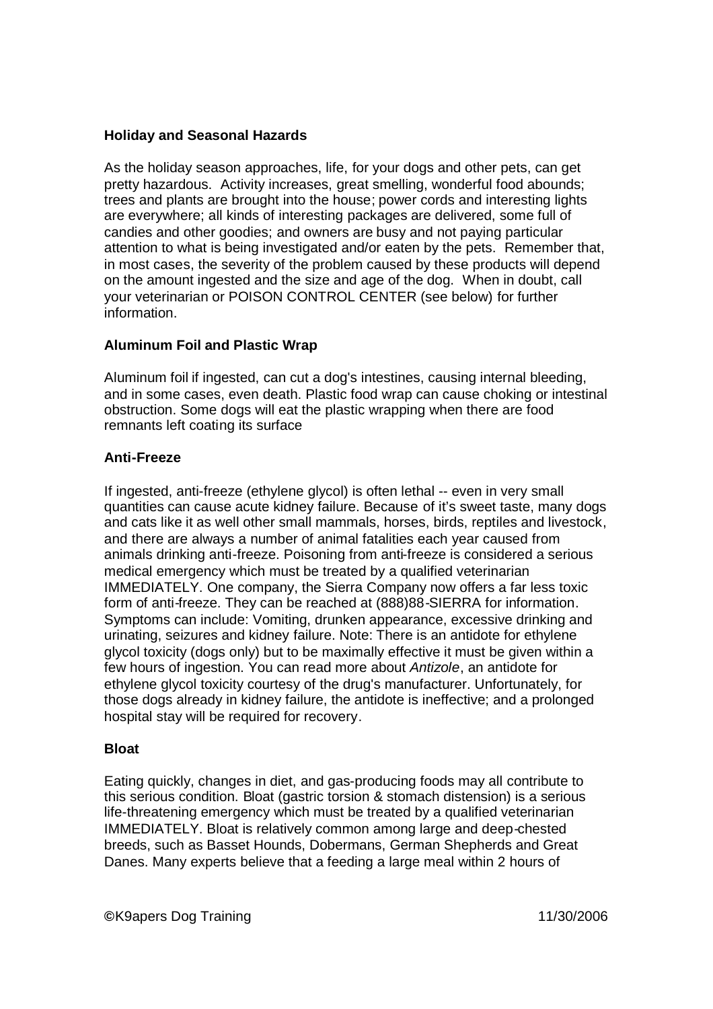# **Holiday and Seasonal Hazards**

As the holiday season approaches, life, for your dogs and other pets, can get pretty hazardous. Activity increases, great smelling, wonderful food abounds; trees and plants are brought into the house; power cords and interesting lights are everywhere; all kinds of interesting packages are delivered, some full of candies and other goodies; and owners are busy and not paying particular attention to what is being investigated and/or eaten by the pets. Remember that, in most cases, the severity of the problem caused by these products will depend on the amount ingested and the size and age of the dog. When in doubt, call your veterinarian or POISON CONTROL CENTER (see below) for further information.

# **Aluminum Foil and Plastic Wrap**

Aluminum foil if ingested, can cut a dog's intestines, causing internal bleeding, and in some cases, even death. Plastic food wrap can cause choking or intestinal obstruction. Some dogs will eat the plastic wrapping when there are food remnants left coating its surface

# **Anti-Freeze**

If ingested, anti-freeze (ethylene glycol) is often lethal -- even in very small quantities can cause acute kidney failure. Because of it's sweet taste, many dogs and cats like it as well other small mammals, horses, birds, reptiles and livestock, and there are always a number of animal fatalities each year caused from animals drinking anti-freeze. Poisoning from anti-freeze is considered a serious medical emergency which must be treated by a qualified veterinarian IMMEDIATELY. One company, the Sierra Company now offers a far less toxic form of anti-freeze. They can be reached at (888)88-SIERRA for information. Symptoms can include: Vomiting, drunken appearance, excessive drinking and urinating, seizures and kidney failure. Note: There is an antidote for ethylene glycol toxicity (dogs only) but to be maximally effective it must be given within a few hours of ingestion. You can read more about *Antizole*, an antidote for ethylene glycol toxicity courtesy of the drug's manufacturer. Unfortunately, for those dogs already in kidney failure, the antidote is ineffective; and a prolonged hospital stay will be required for recovery.

# **Bloat**

Eating quickly, changes in diet, and gas-producing foods may all contribute to this serious condition. Bloat (gastric torsion & stomach distension) is a serious life-threatening emergency which must be treated by a qualified veterinarian IMMEDIATELY. Bloat is relatively common among large and deep-chested breeds, such as Basset Hounds, Dobermans, German Shepherds and Great Danes. Many experts believe that a feeding a large meal within 2 hours of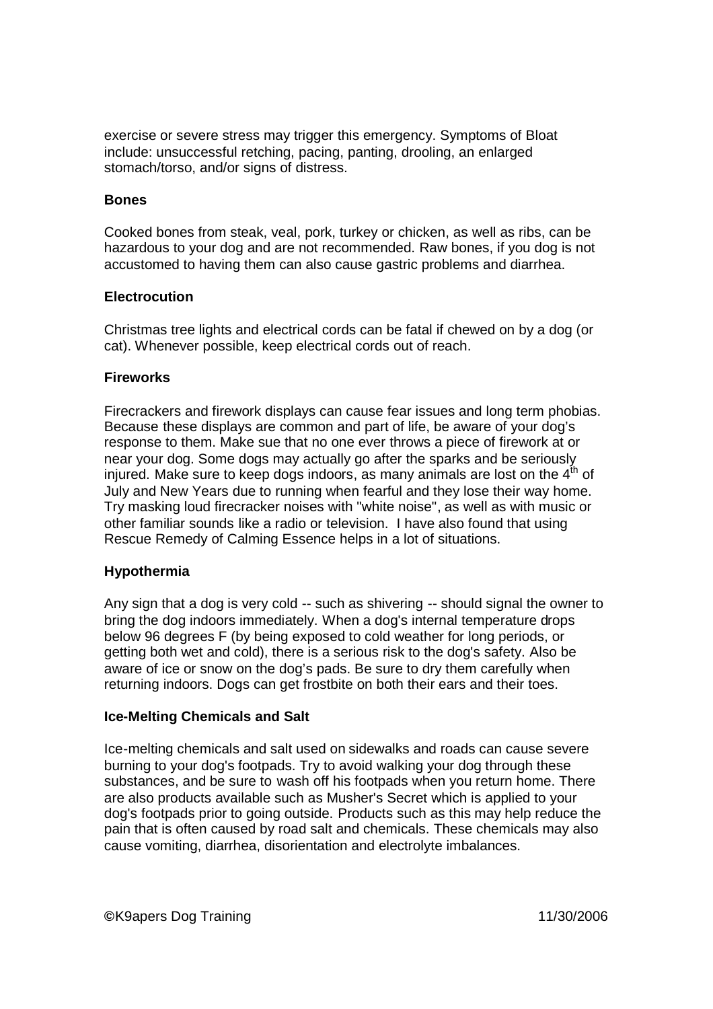exercise or severe stress may trigger this emergency. Symptoms of Bloat include: unsuccessful retching, pacing, panting, drooling, an enlarged stomach/torso, and/or signs of distress.

### **Bones**

Cooked bones from steak, veal, pork, turkey or chicken, as well as ribs, can be hazardous to your dog and are not recommended. Raw bones, if you dog is not accustomed to having them can also cause gastric problems and diarrhea.

### **Electrocution**

Christmas tree lights and electrical cords can be fatal if chewed on by a dog (or cat). Whenever possible, keep electrical cords out of reach.

### **Fireworks**

Firecrackers and firework displays can cause fear issues and long term phobias. Because these displays are common and part of life, be aware of your dog's response to them. Make sue that no one ever throws a piece of firework at or near your dog. Some dogs may actually go after the sparks and be seriously injured. Make sure to keep dogs indoors, as many animals are lost on the  $4<sup>th</sup>$  of July and New Years due to running when fearful and they lose their way home. Try masking loud firecracker noises with "white noise", as well as with music or other familiar sounds like a radio or television. I have also found that using Rescue Remedy of Calming Essence helps in a lot of situations.

# **Hypothermia**

Any sign that a dog is very cold -- such as shivering -- should signal the owner to bring the dog indoors immediately. When a dog's internal temperature drops below 96 degrees F (by being exposed to cold weather for long periods, or getting both wet and cold), there is a serious risk to the dog's safety. Also be aware of ice or snow on the dog's pads. Be sure to dry them carefully when returning indoors. Dogs can get frostbite on both their ears and their toes.

#### **Ice-Melting Chemicals and Salt**

Ice-melting chemicals and salt used on sidewalks and roads can cause severe burning to your dog's footpads. Try to avoid walking your dog through these substances, and be sure to wash off his footpads when you return home. There are also products available such as Musher's Secret which is applied to your dog's footpads prior to going outside. Products such as this may help reduce the pain that is often caused by road salt and chemicals. These chemicals may also cause vomiting, diarrhea, disorientation and electrolyte imbalances.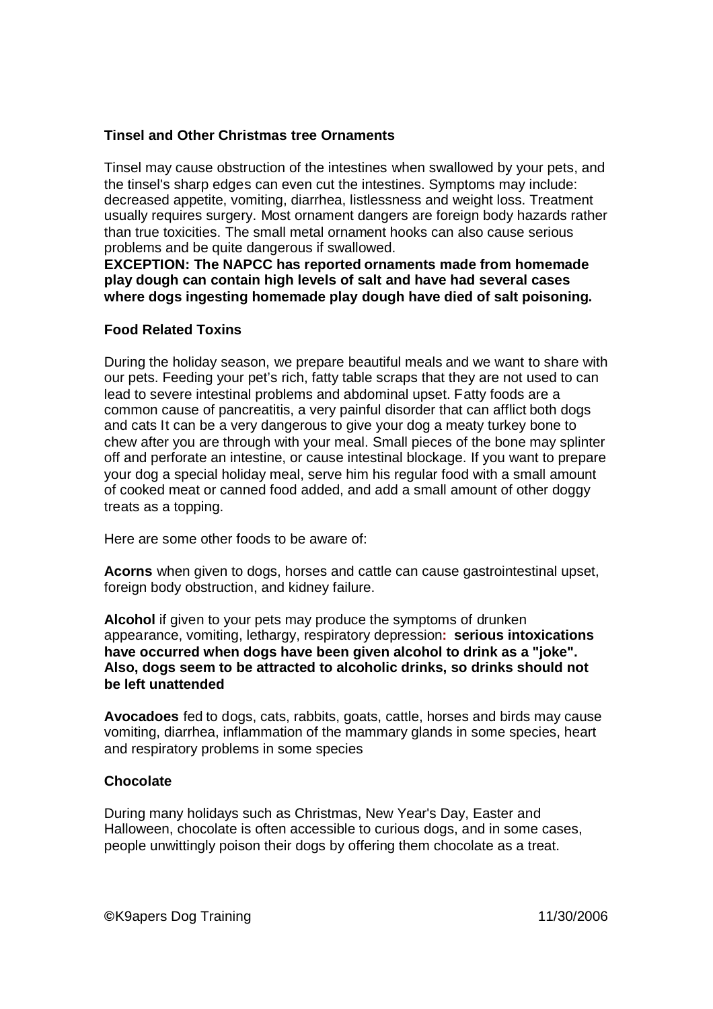# **Tinsel and Other Christmas tree Ornaments**

Tinsel may cause obstruction of the intestines when swallowed by your pets, and the tinsel's sharp edges can even cut the intestines. Symptoms may include: decreased appetite, vomiting, diarrhea, listlessness and weight loss. Treatment usually requires surgery. Most ornament dangers are foreign body hazards rather than true toxicities. The small metal ornament hooks can also cause serious problems and be quite dangerous if swallowed.

**EXCEPTION: The NAPCC has reported ornaments made from homemade play dough can contain high levels of salt and have had several cases where dogs ingesting homemade play dough have died of salt poisoning.**

### **Food Related Toxins**

During the holiday season, we prepare beautiful meals and we want to share with our pets. Feeding your pet's rich, fatty table scraps that they are not used to can lead to severe intestinal problems and abdominal upset. Fatty foods are a common cause of pancreatitis, a very painful disorder that can afflict both dogs and cats It can be a very dangerous to give your dog a meaty turkey bone to chew after you are through with your meal. Small pieces of the bone may splinter off and perforate an intestine, or cause intestinal blockage. If you want to prepare your dog a special holiday meal, serve him his regular food with a small amount of cooked meat or canned food added, and add a small amount of other doggy treats as a topping.

Here are some other foods to be aware of:

**Acorns** when given to dogs, horses and cattle can cause gastrointestinal upset, foreign body obstruction, and kidney failure.

**Alcohol** if given to your pets may produce the symptoms of drunken appearance, vomiting, lethargy, respiratory depression**: serious intoxications have occurred when dogs have been given alcohol to drink as a "joke". Also, dogs seem to be attracted to alcoholic drinks, so drinks should not be left unattended**

**Avocadoes** fed to dogs, cats, rabbits, goats, cattle, horses and birds may cause vomiting, diarrhea, inflammation of the mammary glands in some species, heart and respiratory problems in some species

#### **Chocolate**

During many holidays such as Christmas, New Year's Day, Easter and Halloween, chocolate is often accessible to curious dogs, and in some cases, people unwittingly poison their dogs by offering them chocolate as a treat.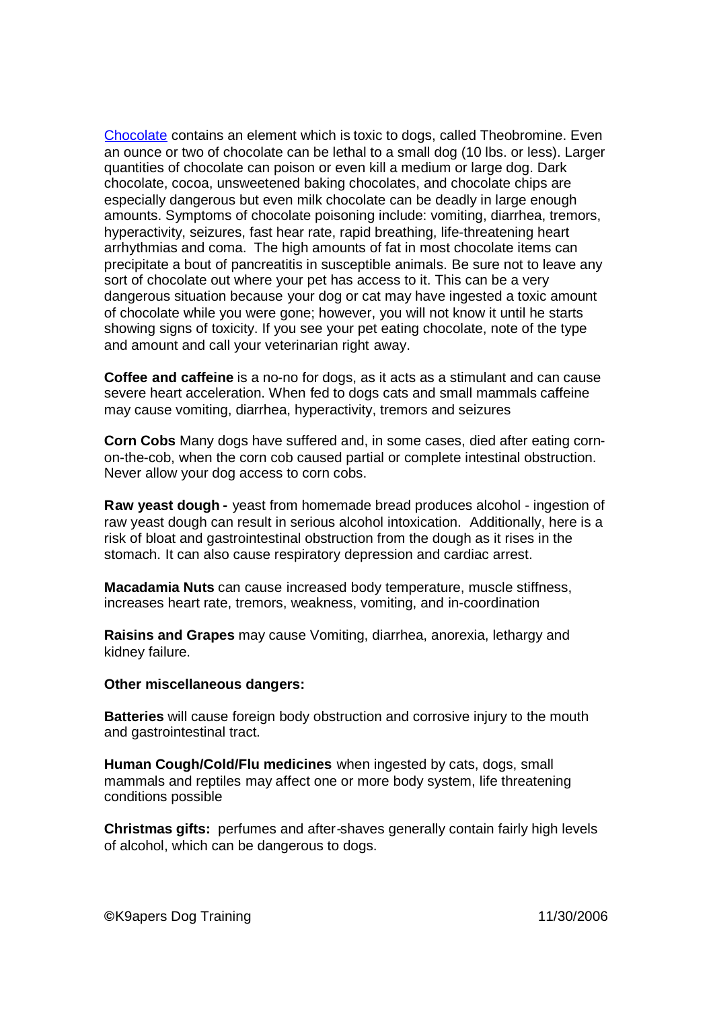Chocolate contains an element which is toxic to dogs, called Theobromine. Even an ounce or two of chocolate can be lethal to a small dog (10 lbs. or less). Larger quantities of chocolate can poison or even kill a medium or large dog. Dark chocolate, cocoa, unsweetened baking chocolates, and chocolate chips are especially dangerous but even milk chocolate can be deadly in large enough amounts. Symptoms of chocolate poisoning include: vomiting, diarrhea, tremors, hyperactivity, seizures, fast hear rate, rapid breathing, life-threatening heart arrhythmias and coma. The high amounts of fat in most chocolate items can precipitate a bout of pancreatitis in susceptible animals. Be sure not to leave any sort of chocolate out where your pet has access to it. This can be a very dangerous situation because your dog or cat may have ingested a toxic amount of chocolate while you were gone; however, you will not know it until he starts showing signs of toxicity. If you see your pet eating chocolate, note of the type and amount and call your veterinarian right away.

**Coffee and caffeine** is a no-no for dogs, as it acts as a stimulant and can cause severe heart acceleration. When fed to dogs cats and small mammals caffeine may cause vomiting, diarrhea, hyperactivity, tremors and seizures

**Corn Cobs** Many dogs have suffered and, in some cases, died after eating cornon-the-cob, when the corn cob caused partial or complete intestinal obstruction. Never allow your dog access to corn cobs.

**Raw yeast dough -** yeast from homemade bread produces alcohol - ingestion of raw yeast dough can result in serious alcohol intoxication. Additionally, here is a risk of bloat and gastrointestinal obstruction from the dough as it rises in the stomach. It can also cause respiratory depression and cardiac arrest.

**Macadamia Nuts** can cause increased body temperature, muscle stiffness, increases heart rate, tremors, weakness, vomiting, and in-coordination

**Raisins and Grapes** may cause Vomiting, diarrhea, anorexia, lethargy and kidney failure.

#### **Other miscellaneous dangers:**

**Batteries** will cause foreign body obstruction and corrosive injury to the mouth and gastrointestinal tract.

**Human Cough/Cold/Flu medicines** when ingested by cats, dogs, small mammals and reptiles may affect one or more body system, life threatening conditions possible

**Christmas gifts:** perfumes and after-shaves generally contain fairly high levels of alcohol, which can be dangerous to dogs.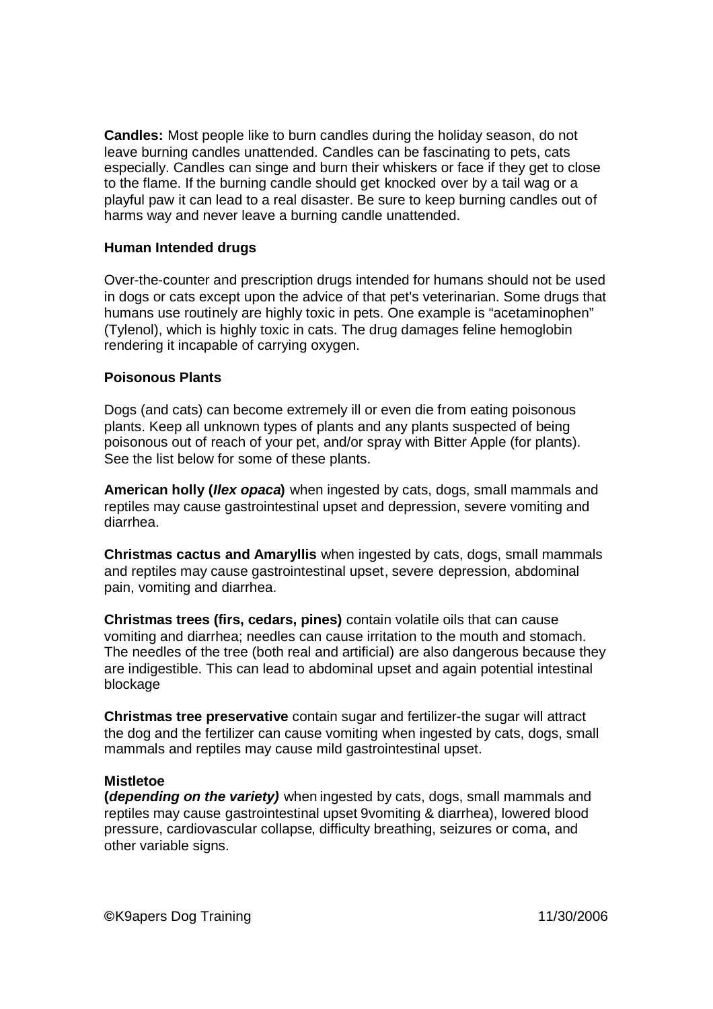**Candles:** Most people like to burn candles during the holiday season, do not leave burning candles unattended. Candles can be fascinating to pets, cats especially. Candles can singe and burn their whiskers or face if they get to close to the flame. If the burning candle should get knocked over by a tail wag or a playful paw it can lead to a real disaster. Be sure to keep burning candles out of harms way and never leave a burning candle unattended.

### **Human Intended drugs**

Over-the-counter and prescription drugs intended for humans should not be used in dogs or cats except upon the advice of that pet's veterinarian. Some drugs that humans use routinely are highly toxic in pets. One example is "acetaminophen" (Tylenol), which is highly toxic in cats. The drug damages feline hemoglobin rendering it incapable of carrying oxygen.

### **Poisonous Plants**

Dogs (and cats) can become extremely ill or even die from eating poisonous plants. Keep all unknown types of plants and any plants suspected of being poisonous out of reach of your pet, and/or spray with Bitter Apple (for plants). See the list below for some of these plants.

**American holly (***Ilex opaca***)** when ingested by cats, dogs, small mammals and reptiles may cause gastrointestinal upset and depression, severe vomiting and diarrhea.

**Christmas cactus and Amaryllis** when ingested by cats, dogs, small mammals and reptiles may cause gastrointestinal upset, severe depression, abdominal pain, vomiting and diarrhea.

**Christmas trees (firs, cedars, pines)** contain volatile oils that can cause vomiting and diarrhea; needles can cause irritation to the mouth and stomach. The needles of the tree (both real and artificial) are also dangerous because they are indigestible. This can lead to abdominal upset and again potential intestinal blockage

**Christmas tree preservative** contain sugar and fertilizer-the sugar will attract the dog and the fertilizer can cause vomiting when ingested by cats, dogs, small mammals and reptiles may cause mild gastrointestinal upset.

#### **Mistletoe**

**(***depending on the variety)* when ingested by cats, dogs, small mammals and reptiles may cause gastrointestinal upset 9vomiting & diarrhea), lowered blood pressure, cardiovascular collapse, difficulty breathing, seizures or coma, and other variable signs.